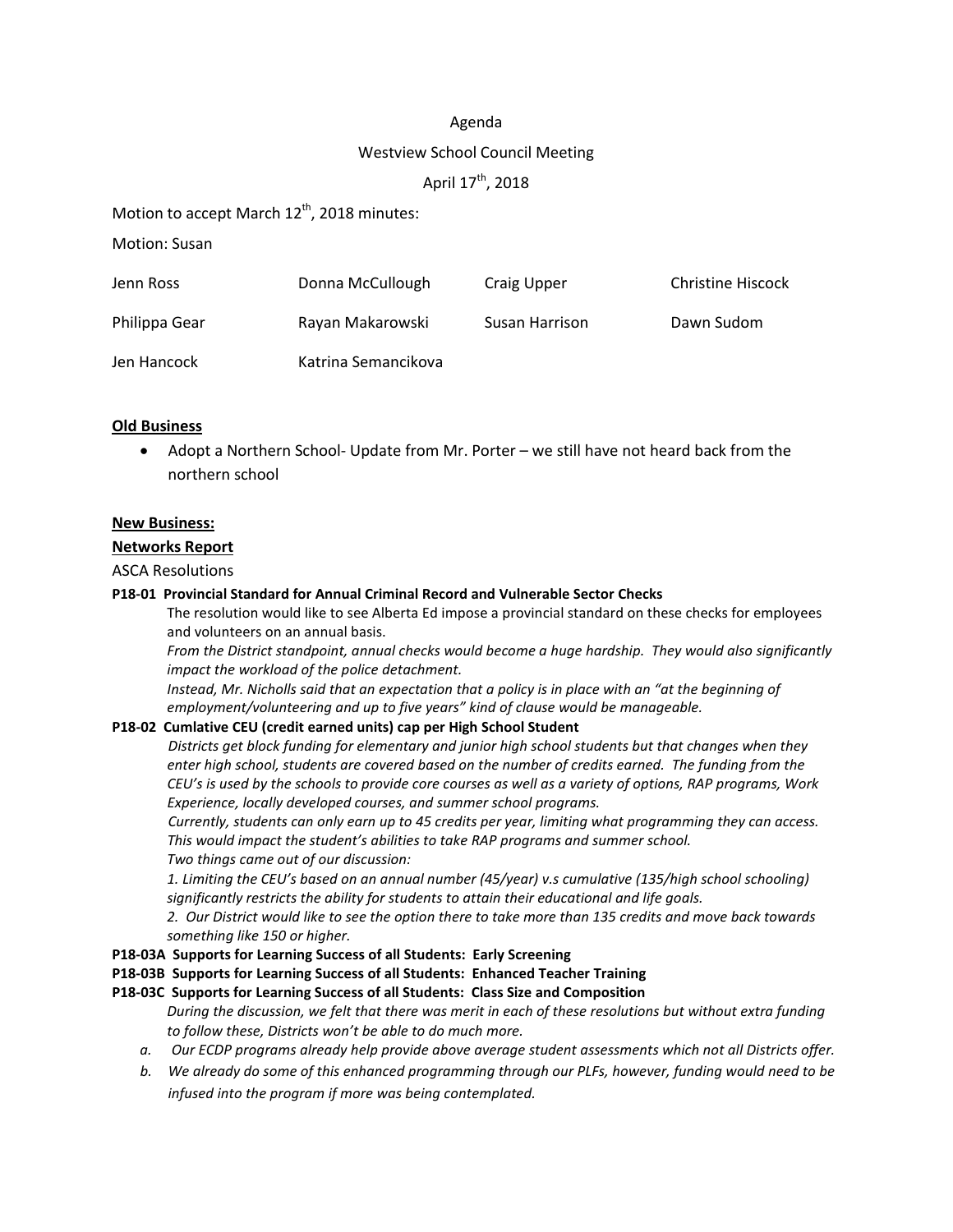#### Agenda

#### Westview School Council Meeting

# April 17<sup>th</sup>, 2018

Motion to accept March  $12<sup>th</sup>$ , 2018 minutes:

Motion: Susan

| Jenn Ross     | Donna McCullough    | Craig Upper    | <b>Christine Hiscock</b> |
|---------------|---------------------|----------------|--------------------------|
| Philippa Gear | Rayan Makarowski    | Susan Harrison | Dawn Sudom               |
| Jen Hancock   | Katrina Semancikova |                |                          |

### **Old Business**

• Adopt a Northern School- Update from Mr. Porter – we still have not heard back from the northern school

#### **New Business:**

#### **Networks Report**

ASCA Resolutions

#### **P18-01 Provincial Standard for Annual Criminal Record and Vulnerable Sector Checks**

The resolution would like to see Alberta Ed impose a provincial standard on these checks for employees and volunteers on an annual basis.

*From the District standpoint, annual checks would become a huge hardship. They would also significantly impact the workload of the police detachment.*

Instead, Mr. Nicholls said that an expectation that a policy is in place with an "at the beginning of *employment/volunteering and up to five years" kind of clause would be manageable.*

#### **P18-02 Cumlative CEU (credit earned units) cap per High School Student**

*Districts get block funding for elementary and junior high school students but that changes when they enter high school, students are covered based on the number of credits earned. The funding from the* CEU's is used by the schools to provide core courses as well as a variety of options, RAP programs, Work *Experience, locally developed courses, and summer school programs.*

*Currently, students can only earn up to 45 credits per year, limiting what programming they can access. This would impact the student's abilities to take RAP programs and summer school. Two things came out of our discussion:*

*1. Limiting the CEU's based on an annual number (45/year) v.s cumulative (135/high school schooling) significantly restricts the ability for students to attain their educational and life goals.*

2. Our District would like to see the option there to take more than 135 credits and move back towards *something like 150 or higher.*

**P18-03A Supports for Learning Success of all Students: Early Screening**

# **P18-03B Supports for Learning Success of all Students: Enhanced Teacher Training**

# **P18-03C Supports for Learning Success of all Students: Class Size and Composition**

During the discussion, we felt that there was merit in each of these resolutions but without extra funding *to follow these, Districts won't be able to do much more.* 

- *a. Our ECDP programs already help provide above average student assessments which not all Districts offer.*
- b. We already do some of this enhanced programming through our PLFs, however, funding would need to be *infused into the program if more was being contemplated.*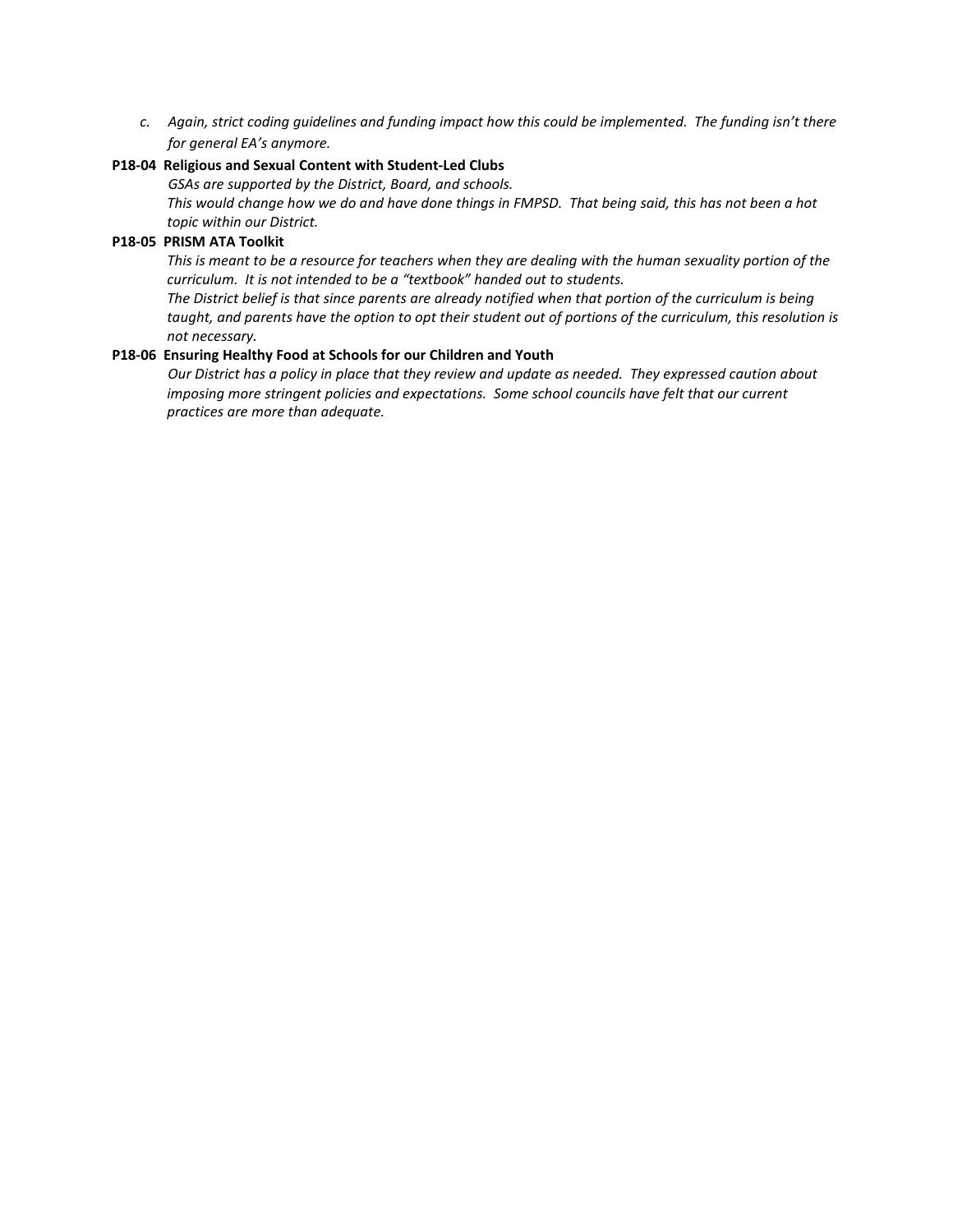*c. Again, strict coding guidelines and funding impact how this could be implemented. The funding isn't there for general EA's anymore.*

#### **P18-04 Religious and Sexual Content with Student-Led Clubs**

*GSAs are supported by the District, Board, and schools.*

This would change how we do and have done things in FMPSD. That being said, this has not been a hot *topic within our District.*

#### **P18-05 PRISM ATA Toolkit**

This is meant to be a resource for teachers when they are dealing with the human sexuality portion of the *curriculum. It is not intended to be a "textbook" handed out to students.*

The District belief is that since parents are already notified when that portion of the curriculum is being taught, and parents have the option to opt their student out of portions of the curriculum, this resolution is *not necessary.*

#### **P18-06 Ensuring Healthy Food at Schools for our Children and Youth**

*Our District has a policy in place that they review and update as needed. They expressed caution about imposing more stringent policies and expectations. Some school councils have felt that our current practices are more than adequate.*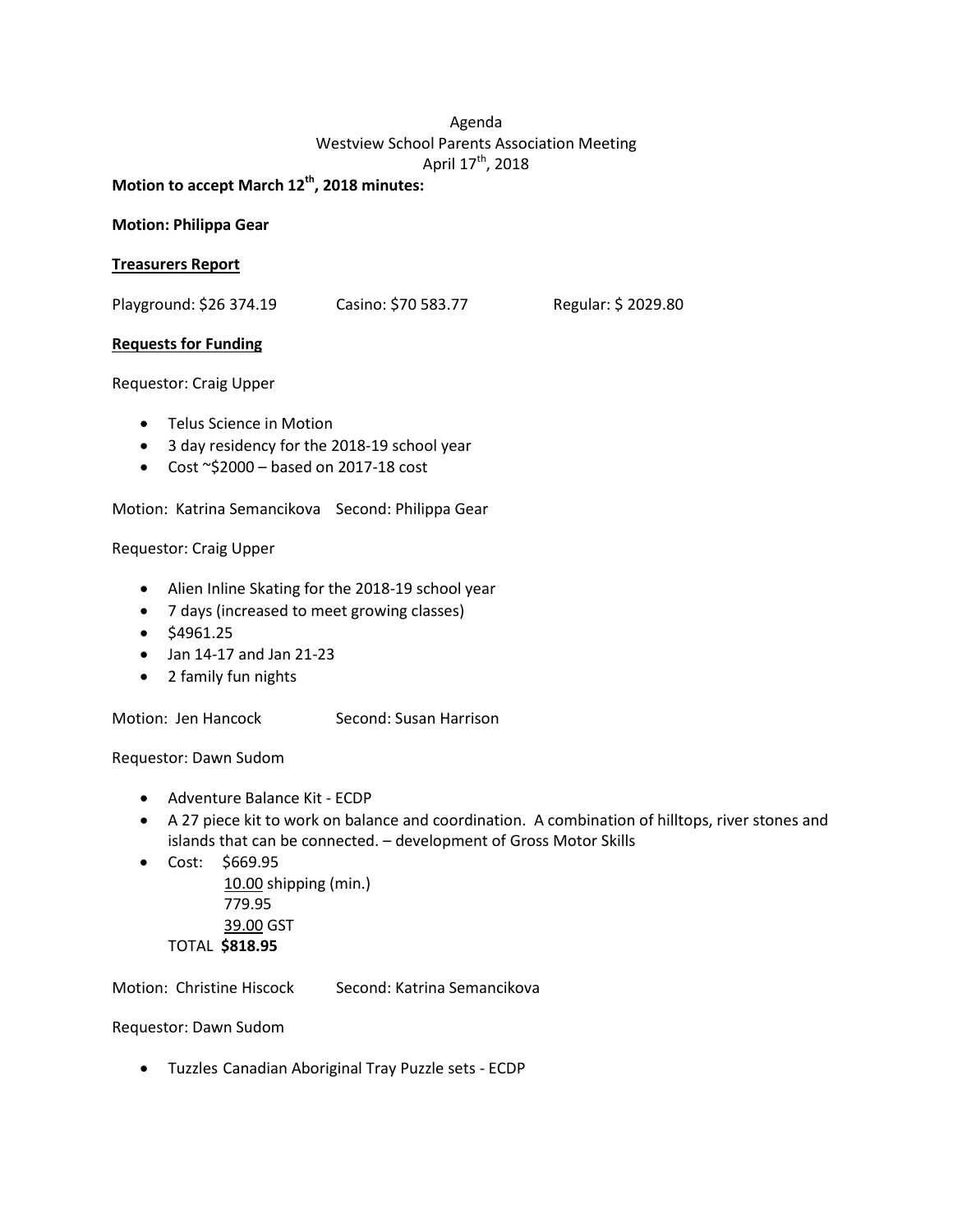# Agenda Westview School Parents Association Meeting April 17<sup>th</sup>, 2018

**Motion to accept March 12th, 2018 minutes:**

#### **Motion: Philippa Gear**

#### **Treasurers Report**

Playground: \$26 374.19 Casino: \$70 583.77 Regular: \$ 2029.80

#### **Requests for Funding**

Requestor: Craig Upper

- Telus Science in Motion
- 3 day residency for the 2018-19 school year
- Cost  $\sim$ \$2000 based on 2017-18 cost

Motion: Katrina Semancikova Second: Philippa Gear

#### Requestor: Craig Upper

- Alien Inline Skating for the 2018-19 school year
- 7 days (increased to meet growing classes)
- \$4961.25
- Jan 14-17 and Jan 21-23
- 2 family fun nights

Motion: Jen Hancock Second: Susan Harrison

Requestor: Dawn Sudom

- Adventure Balance Kit ECDP
- A 27 piece kit to work on balance and coordination. A combination of hilltops, river stones and islands that can be connected. – development of Gross Motor Skills
- Cost: \$669.95 10.00 shipping (min.) 779.95 39.00 GST TOTAL **\$818.95**

Motion: Christine Hiscock Second: Katrina Semancikova

Requestor: Dawn Sudom

• Tuzzles Canadian Aboriginal Tray Puzzle sets - ECDP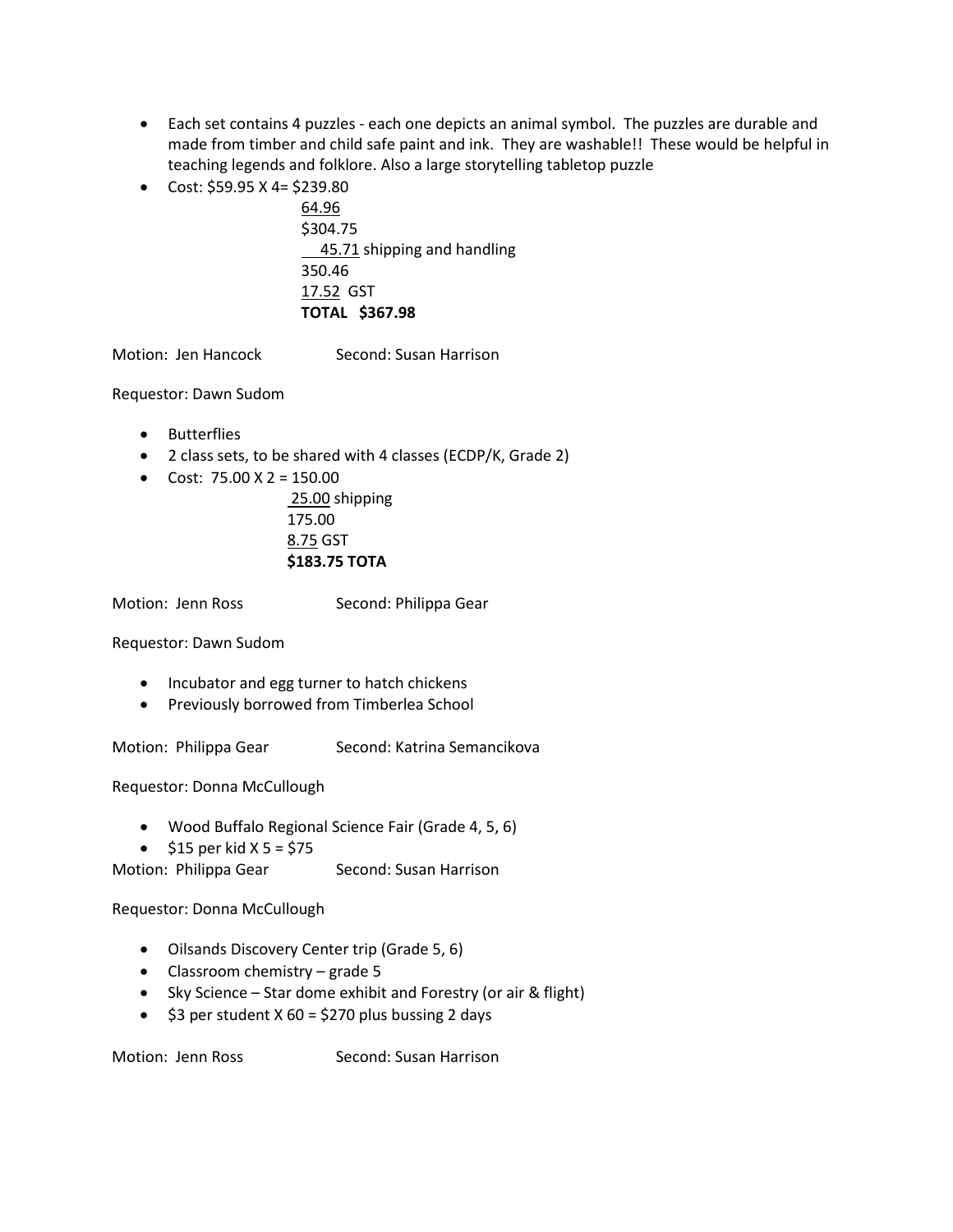- Each set contains 4 puzzles each one depicts an animal symbol. The puzzles are durable and made from timber and child safe paint and ink. They are washable!! These would be helpful in teaching legends and folklore. Also a large storytelling tabletop puzzle
- Cost:  $$59.95$  X 4=  $$239.80$

64.96 \$304.75 45.71 shipping and handling 350.46 17.52 GST **TOTAL \$367.98**

Motion: Jen Hancock Second: Susan Harrison

Requestor: Dawn Sudom

- Butterflies
- 2 class sets, to be shared with 4 classes (ECDP/K, Grade 2)
- Cost:  $75.00 \text{ X } 2 = 150.00$

25.00 shipping 175.00 8.75 GST **\$183.75 TOTA**

Motion: Jenn Ross Second: Philippa Gear

Requestor: Dawn Sudom

- Incubator and egg turner to hatch chickens
- Previously borrowed from Timberlea School

Motion: Philippa Gear Second: Katrina Semancikova

Requestor: Donna McCullough

- Wood Buffalo Regional Science Fair (Grade 4, 5, 6)
- $$15$  per kid X 5 = \$75

Motion: Philippa Gear Second: Susan Harrison

Requestor: Donna McCullough

- Oilsands Discovery Center trip (Grade 5, 6)
- Classroom chemistry grade 5
- Sky Science Star dome exhibit and Forestry (or air & flight)
- $$3$  per student X 60 = \$270 plus bussing 2 days

Motion: Jenn Ross Second: Susan Harrison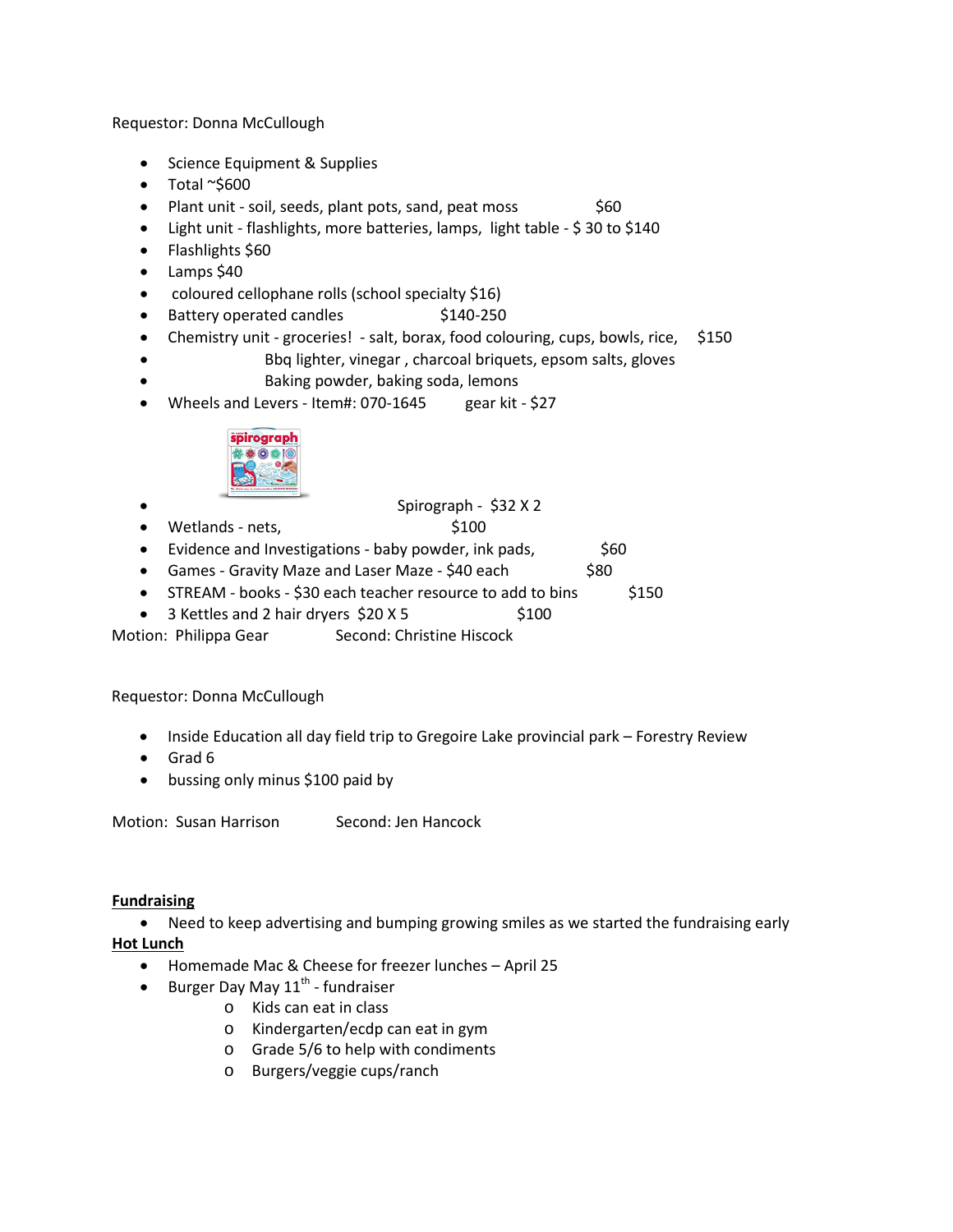Requestor: Donna McCullough

- Science Equipment & Supplies
- Total ~\$600
- Plant unit soil, seeds, plant pots, sand, peat moss  $$60$
- Light unit flashlights, more batteries, lamps, light table \$ 30 to \$140
- Flashlights \$60
- Lamps \$40
- coloured cellophane rolls (school specialty \$16)
- Battery operated candles \$140-250
- Chemistry unit groceries! salt, borax, food colouring, cups, bowls, rice, \$150
- Bbq lighter, vinegar , charcoal briquets, epsom salts, gloves • Baking powder, baking soda, lemons
- Wheels and Levers Item#: 070-1645 gear kit \$27



### • Spirograph - \$32 X 2

- Wetlands nets, \$100
- Evidence and Investigations baby powder, ink pads,  $\sim$  \$60
- Games Gravity Maze and Laser Maze \$40 each \$80
- STREAM books \$30 each teacher resource to add to bins \$150
- 3 Kettles and 2 hair dryers  $$20 X5$  \$100

Motion: Philippa Gear Second: Christine Hiscock

#### Requestor: Donna McCullough

- Inside Education all day field trip to Gregoire Lake provincial park Forestry Review
- Grad 6
- bussing only minus \$100 paid by

Motion: Susan Harrison Second: Jen Hancock

#### **Fundraising**

• Need to keep advertising and bumping growing smiles as we started the fundraising early **Hot Lunch**

- Homemade Mac & Cheese for freezer lunches April 25
- Burger Day May  $11^{th}$  fundraiser
	- o Kids can eat in class
	- o Kindergarten/ecdp can eat in gym
	- o Grade 5/6 to help with condiments
	- o Burgers/veggie cups/ranch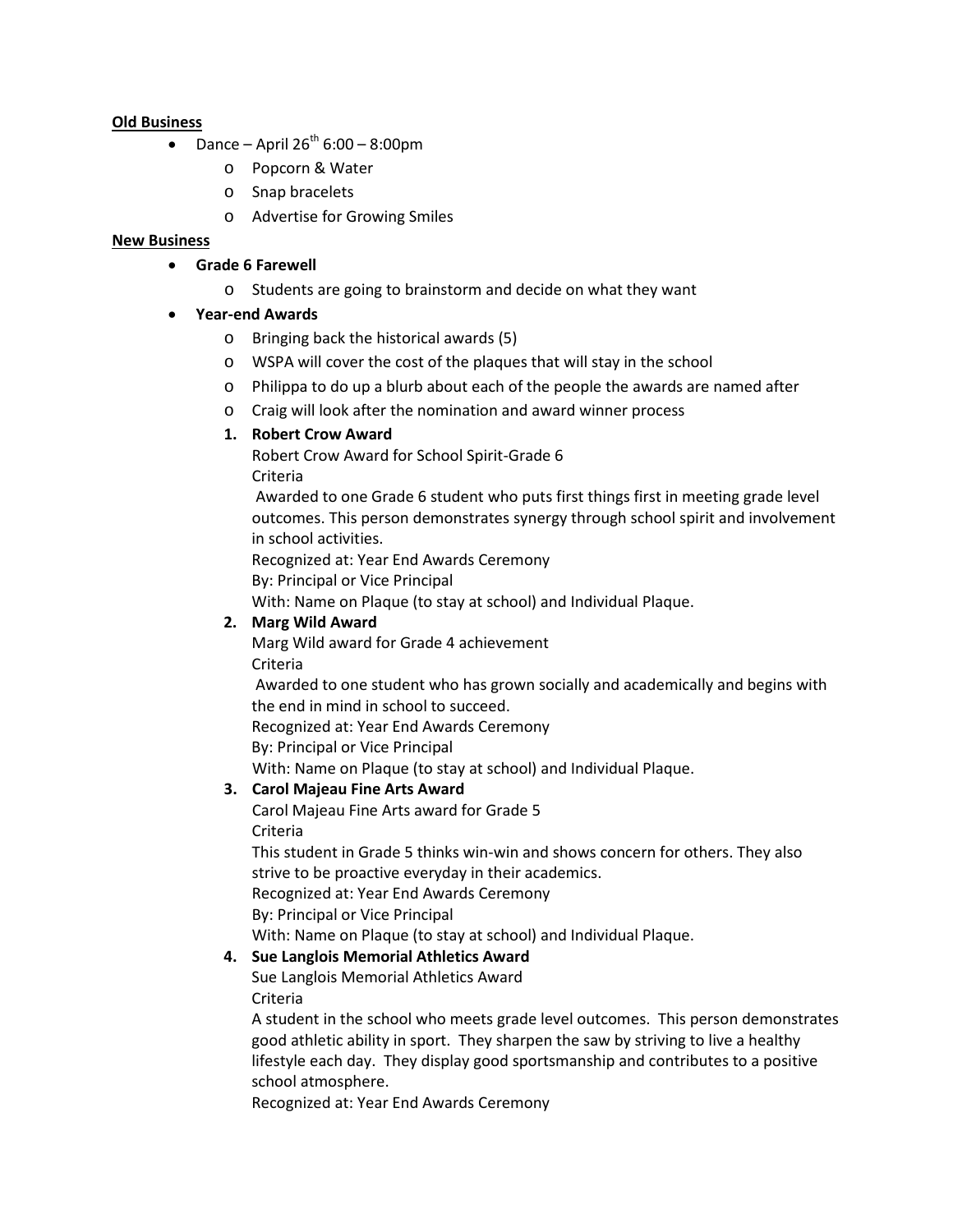#### **Old Business**

- Dance April  $26<sup>th</sup> 6:00 8:00 \text{pm}$ 
	- o Popcorn & Water
	- o Snap bracelets
	- o Advertise for Growing Smiles

### **New Business**

- **Grade 6 Farewell**
	- o Students are going to brainstorm and decide on what they want

### • **Year-end Awards**

- o Bringing back the historical awards (5)
- o WSPA will cover the cost of the plaques that will stay in the school
- o Philippa to do up a blurb about each of the people the awards are named after
- o Craig will look after the nomination and award winner process

### **1. Robert Crow Award**

Robert Crow Award for School Spirit-Grade 6 Criteria

Awarded to one Grade 6 student who puts first things first in meeting grade level outcomes. This person demonstrates synergy through school spirit and involvement in school activities.

Recognized at: Year End Awards Ceremony

By: Principal or Vice Principal

With: Name on Plaque (to stay at school) and Individual Plaque.

### **2. Marg Wild Award**

Marg Wild award for Grade 4 achievement Criteria

Awarded to one student who has grown socially and academically and begins with the end in mind in school to succeed.

Recognized at: Year End Awards Ceremony

By: Principal or Vice Principal

With: Name on Plaque (to stay at school) and Individual Plaque.

# **3. Carol Majeau Fine Arts Award**

Carol Majeau Fine Arts award for Grade 5

Criteria

This student in Grade 5 thinks win-win and shows concern for others. They also strive to be proactive everyday in their academics.

Recognized at: Year End Awards Ceremony

By: Principal or Vice Principal

With: Name on Plaque (to stay at school) and Individual Plaque.

# **4. Sue Langlois Memorial Athletics Award**

Sue Langlois Memorial Athletics Award Criteria

A student in the school who meets grade level outcomes. This person demonstrates good athletic ability in sport. They sharpen the saw by striving to live a healthy lifestyle each day. They display good sportsmanship and contributes to a positive school atmosphere.

Recognized at: Year End Awards Ceremony